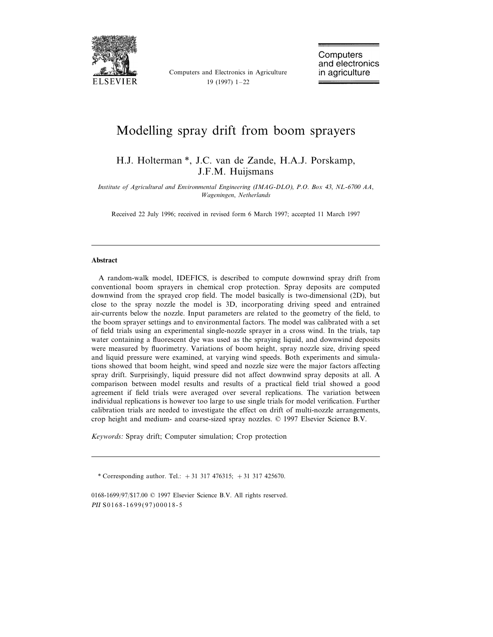

Computers and Electronics in Agriculture 19 (1997) 1–22

Computers and electronics in agriculture

# Modelling spray drift from boom sprayers

H.J. Holterman \*, J.C. van de Zande, H.A.J. Porskamp, J.F.M. Huijsmans

*Institute of Agricultural and Environmental Engineering* (*IMAG-DLO*), *P.O. Box 43, NL-6700 AA*, *Wageningen*, *Netherlands*

Received 22 July 1996; received in revised form 6 March 1997; accepted 11 March 1997

#### **Abstract**

A random-walk model, IDEFICS, is described to compute downwind spray drift from conventional boom sprayers in chemical crop protection. Spray deposits are computed downwind from the sprayed crop field. The model basically is two-dimensional (2D), but close to the spray nozzle the model is 3D, incorporating driving speed and entrained air-currents below the nozzle. Input parameters are related to the geometry of the field, to the boom sprayer settings and to environmental factors. The model was calibrated with a set of field trials using an experimental single-nozzle sprayer in a cross wind. In the trials, tap water containing a fluorescent dye was used as the spraying liquid, and downwind deposits were measured by fluorimetry. Variations of boom height, spray nozzle size, driving speed and liquid pressure were examined, at varying wind speeds. Both experiments and simulations showed that boom height, wind speed and nozzle size were the major factors affecting spray drift. Surprisingly, liquid pressure did not affect downwind spray deposits at all. A comparison between model results and results of a practical field trial showed a good agreement if field trials were averaged over several replications. The variation between individual replications is however too large to use single trials for model verification. Further calibration trials are needed to investigate the effect on drift of multi-nozzle arrangements, crop height and medium- and coarse-sized spray nozzles. © 1997 Elsevier Science B.V.

*Keywords*: Spray drift; Computer simulation; Crop protection

\* Corresponding author. Tel.:  $+31$  317 476315;  $+31$  317 425670.

0168-1699/97/\$17.00 © 1997 Elsevier Science B.V. All rights reserved. PII S0168-1699(97)00018-5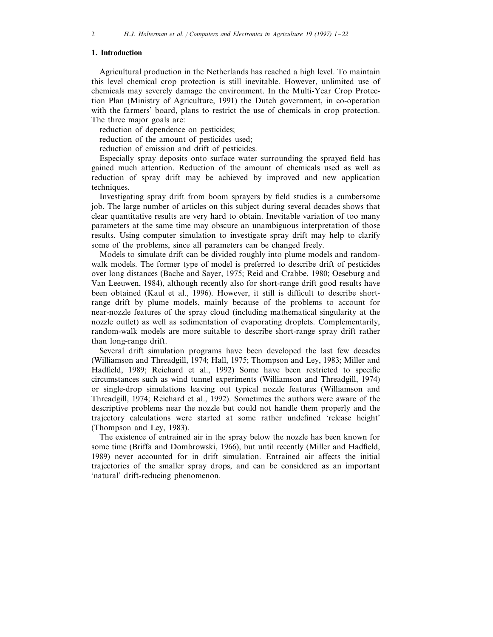## **1. Introduction**

Agricultural production in the Netherlands has reached a high level. To maintain this level chemical crop protection is still inevitable. However, unlimited use of chemicals may severely damage the environment. In the Multi-Year Crop Protection Plan (Ministry of Agriculture, 1991) the Dutch government, in co-operation with the farmers' board, plans to restrict the use of chemicals in crop protection. The three major goals are:

reduction of dependence on pesticides;

reduction of the amount of pesticides used;

reduction of emission and drift of pesticides.

Especially spray deposits onto surface water surrounding the sprayed field has gained much attention. Reduction of the amount of chemicals used as well as reduction of spray drift may be achieved by improved and new application techniques.

Investigating spray drift from boom sprayers by field studies is a cumbersome job. The large number of articles on this subject during several decades shows that clear quantitative results are very hard to obtain. Inevitable variation of too many parameters at the same time may obscure an unambiguous interpretation of those results. Using computer simulation to investigate spray drift may help to clarify some of the problems, since all parameters can be changed freely.

Models to simulate drift can be divided roughly into plume models and randomwalk models. The former type of model is preferred to describe drift of pesticides over long distances (Bache and Sayer, 1975; Reid and Crabbe, 1980; Oeseburg and Van Leeuwen, 1984), although recently also for short-range drift good results have been obtained (Kaul et al., 1996). However, it still is difficult to describe shortrange drift by plume models, mainly because of the problems to account for near-nozzle features of the spray cloud (including mathematical singularity at the nozzle outlet) as well as sedimentation of evaporating droplets. Complementarily, random-walk models are more suitable to describe short-range spray drift rather than long-range drift.

Several drift simulation programs have been developed the last few decades (Williamson and Threadgill, 1974; Hall, 1975; Thompson and Ley, 1983; Miller and Hadfield, 1989; Reichard et al., 1992) Some have been restricted to specific circumstances such as wind tunnel experiments (Williamson and Threadgill, 1974) or single-drop simulations leaving out typical nozzle features (Williamson and Threadgill, 1974; Reichard et al., 1992). Sometimes the authors were aware of the descriptive problems near the nozzle but could not handle them properly and the trajectory calculations were started at some rather undefined 'release height' (Thompson and Ley, 1983).

The existence of entrained air in the spray below the nozzle has been known for some time (Briffa and Dombrowski, 1966), but until recently (Miller and Hadfield, 1989) never accounted for in drift simulation. Entrained air affects the initial trajectories of the smaller spray drops, and can be considered as an important 'natural' drift-reducing phenomenon.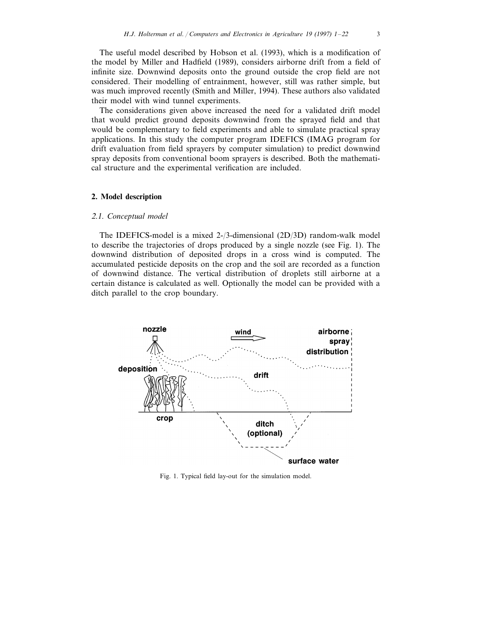The useful model described by Hobson et al. (1993), which is a modification of the model by Miller and Hadfield (1989), considers airborne drift from a field of infinite size. Downwind deposits onto the ground outside the crop field are not considered. Their modelling of entrainment, however, still was rather simple, but was much improved recently (Smith and Miller, 1994). These authors also validated their model with wind tunnel experiments.

The considerations given above increased the need for a validated drift model that would predict ground deposits downwind from the sprayed field and that would be complementary to field experiments and able to simulate practical spray applications. In this study the computer program IDEFICS (IMAG program for drift evaluation from field sprayers by computer simulation) to predict downwind spray deposits from conventional boom sprayers is described. Both the mathematical structure and the experimental verification are included.

## **2. Model description**

#### 2.1. *Conceptual model*

The IDEFICS-model is a mixed 2-/3-dimensional (2D/3D) random-walk model to describe the trajectories of drops produced by a single nozzle (see Fig. 1). The downwind distribution of deposited drops in a cross wind is computed. The accumulated pesticide deposits on the crop and the soil are recorded as a function of downwind distance. The vertical distribution of droplets still airborne at a certain distance is calculated as well. Optionally the model can be provided with a ditch parallel to the crop boundary.



Fig. 1. Typical field lay-out for the simulation model.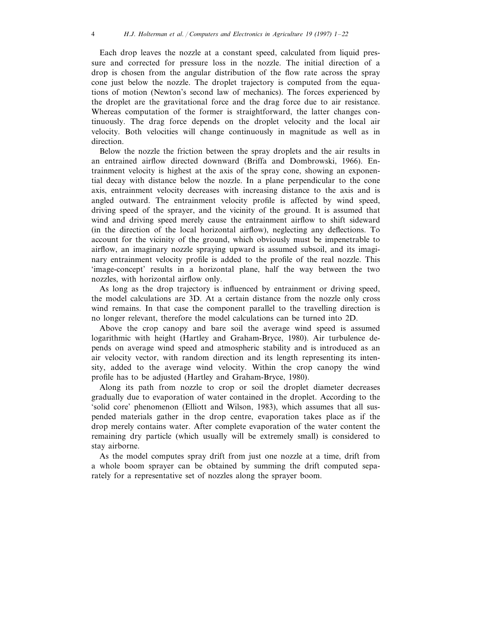Each drop leaves the nozzle at a constant speed, calculated from liquid pressure and corrected for pressure loss in the nozzle. The initial direction of a drop is chosen from the angular distribution of the flow rate across the spray cone just below the nozzle. The droplet trajectory is computed from the equations of motion (Newton's second law of mechanics). The forces experienced by the droplet are the gravitational force and the drag force due to air resistance. Whereas computation of the former is straightforward, the latter changes continuously. The drag force depends on the droplet velocity and the local air velocity. Both velocities will change continuously in magnitude as well as in direction.

Below the nozzle the friction between the spray droplets and the air results in an entrained airflow directed downward (Briffa and Dombrowski, 1966). Entrainment velocity is highest at the axis of the spray cone, showing an exponential decay with distance below the nozzle. In a plane perpendicular to the cone axis, entrainment velocity decreases with increasing distance to the axis and is angled outward. The entrainment velocity profile is affected by wind speed, driving speed of the sprayer, and the vicinity of the ground. It is assumed that wind and driving speed merely cause the entrainment airflow to shift sideward (in the direction of the local horizontal airflow), neglecting any deflections. To account for the vicinity of the ground, which obviously must be impenetrable to airflow, an imaginary nozzle spraying upward is assumed subsoil, and its imaginary entrainment velocity profile is added to the profile of the real nozzle. This 'image-concept' results in a horizontal plane, half the way between the two nozzles, with horizontal airflow only.

As long as the drop trajectory is influenced by entrainment or driving speed, the model calculations are 3D. At a certain distance from the nozzle only cross wind remains. In that case the component parallel to the travelling direction is no longer relevant, therefore the model calculations can be turned into 2D.

Above the crop canopy and bare soil the average wind speed is assumed logarithmic with height (Hartley and Graham-Bryce, 1980). Air turbulence depends on average wind speed and atmospheric stability and is introduced as an air velocity vector, with random direction and its length representing its intensity, added to the average wind velocity. Within the crop canopy the wind profile has to be adjusted (Hartley and Graham-Bryce, 1980).

Along its path from nozzle to crop or soil the droplet diameter decreases gradually due to evaporation of water contained in the droplet. According to the 'solid core' phenomenon (Elliott and Wilson, 1983), which assumes that all suspended materials gather in the drop centre, evaporation takes place as if the drop merely contains water. After complete evaporation of the water content the remaining dry particle (which usually will be extremely small) is considered to stay airborne.

As the model computes spray drift from just one nozzle at a time, drift from a whole boom sprayer can be obtained by summing the drift computed separately for a representative set of nozzles along the sprayer boom.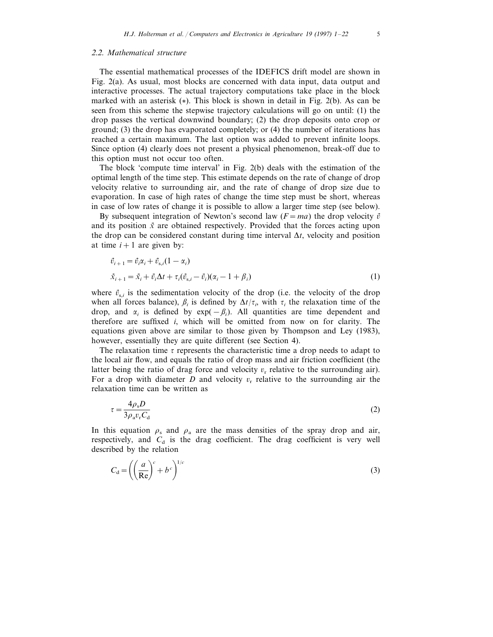#### 2.2. *Mathematical structure*

The essential mathematical processes of the IDEFICS drift model are shown in Fig. 2(a). As usual, most blocks are concerned with data input, data output and interactive processes. The actual trajectory computations take place in the block marked with an asterisk  $(*)$ . This block is shown in detail in Fig. 2(b). As can be seen from this scheme the stepwise trajectory calculations will go on until: (1) the drop passes the vertical downwind boundary; (2) the drop deposits onto crop or ground; (3) the drop has evaporated completely; or (4) the number of iterations has reached a certain maximum. The last option was added to prevent infinite loops. Since option (4) clearly does not present a physical phenomenon, break-off due to this option must not occur too often.

The block 'compute time interval' in Fig. 2(b) deals with the estimation of the optimal length of the time step. This estimate depends on the rate of change of drop velocity relative to surrounding air, and the rate of change of drop size due to evaporation. In case of high rates of change the time step must be short, whereas in case of low rates of change it is possible to allow a larger time step (see below).

By subsequent integration of Newton's second law  $(F=ma)$  the drop velocity  $\vec{v}$ and its position  $\vec{x}$  are obtained respectively. Provided that the forces acting upon the drop can be considered constant during time interval  $\Delta t$ , velocity and position at time  $i+1$  are given by:

$$
\vec{v}_{i+1} = \vec{v}_i \alpha_i + \vec{v}_{s,i} (1 - \alpha_i) \n\vec{x}_{i+1} = \vec{x}_i + \vec{v}_i \Delta t + \tau_i (\vec{v}_{s,i} - \vec{v}_i) (\alpha_i - 1 + \beta_i)
$$
\n(1)

where  $\vec{v}_{s,i}$  is the sedimentation velocity of the drop (i.e. the velocity of the drop when all forces balance),  $\beta_i$  is defined by  $\Delta t/\tau_i$ , with  $\tau_i$  the relaxation time of the drop, and  $\alpha_i$  is defined by exp( $-\beta_i$ ). All quantities are time dependent and therefore are suffixed *i*, which will be omitted from now on for clarity. The equations given above are similar to those given by Thompson and Ley (1983), however, essentially they are quite different (see Section 4).

The relaxation time  $\tau$  represents the characteristic time a drop needs to adapt to the local air flow, and equals the ratio of drop mass and air friction coefficient (the latter being the ratio of drag force and velocity  $v_r$  relative to the surrounding air). For a drop with diameter *D* and velocity  $v_r$  relative to the surrounding air the relaxation time can be written as

$$
\tau = \frac{4\rho_s D}{3\rho_a v_r C_d} \tag{2}
$$

In this equation  $\rho_s$  and  $\rho_a$  are the mass densities of the spray drop and air, respectively, and  $C_d$  is the drag coefficient. The drag coefficient is very well described by the relation

$$
C_{\rm d} = \left( \left( \frac{a}{\rm Re} \right)^c + b^c \right)^{1/c} \tag{3}
$$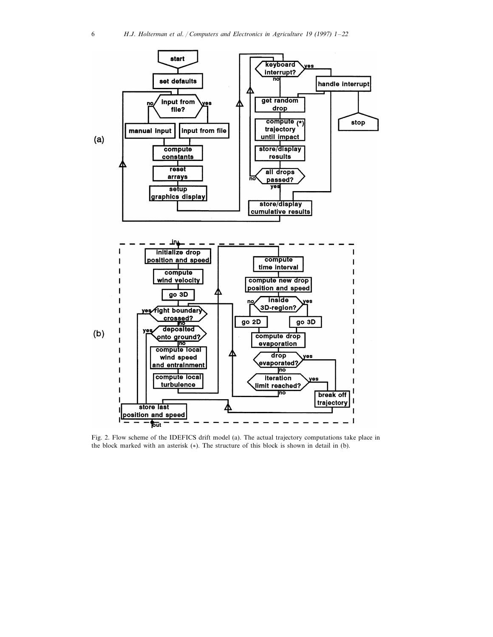

Fig. 2. Flow scheme of the IDEFICS drift model (a). The actual trajectory computations take place in the block marked with an asterisk  $(*)$ . The structure of this block is shown in detail in (b).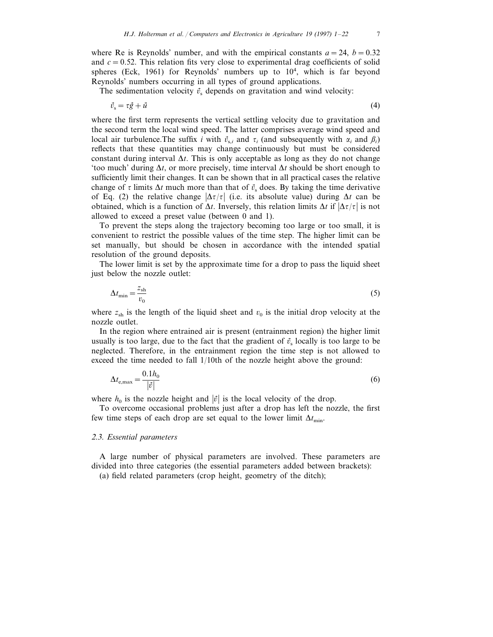where Re is Reynolds' number, and with the empirical constants  $a = 24$ ,  $b = 0.32$ and  $c = 0.52$ . This relation fits very close to experimental drag coefficients of solid spheres (Eck, 1961) for Reynolds' numbers up to  $10<sup>4</sup>$ , which is far beyond Reynolds' numbers occurring in all types of ground applications.

The sedimentation velocity  $\vec{v}$ , depends on gravitation and wind velocity:

 $\vec{v}_s = \tau \vec{g} + \vec{u}$  (4)

where the first term represents the vertical settling velocity due to gravitation and the second term the local wind speed. The latter comprises average wind speed and local air turbulence. The suffix *i* with  $\vec{v}_{s,i}$  and  $\tau_i$  (and subsequently with  $\alpha_i$  and  $\beta_i$ ) reflects that these quantities may change continuously but must be considered constant during interval  $\Delta t$ . This is only acceptable as long as they do not change 'too much' during  $\Delta t$ , or more precisely, time interval  $\Delta t$  should be short enough to sufficiently limit their changes. It can be shown that in all practical cases the relative change of  $\tau$  limits  $\Delta t$  much more than that of  $\vec{v}_s$  does. By taking the time derivative of Eq. (2) the relative change  $|\Delta \tau / \tau|$  (i.e. its absolute value) during  $\Delta t$  can be obtained, which is a function of  $\Delta t$ . Inversely, this relation limits  $\Delta t$  if  $|\Delta \tau / \tau|$  is not allowed to exceed a preset value (between 0 and 1).

To prevent the steps along the trajectory becoming too large or too small, it is convenient to restrict the possible values of the time step. The higher limit can be set manually, but should be chosen in accordance with the intended spatial resolution of the ground deposits.

The lower limit is set by the approximate time for a drop to pass the liquid sheet just below the nozzle outlet:

$$
\Delta t_{\rm min} = \frac{z_{\rm sh}}{v_0} \tag{5}
$$

where  $z_{sh}$  is the length of the liquid sheet and  $v_0$  is the initial drop velocity at the nozzle outlet.

In the region where entrained air is present (entrainment region) the higher limit usually is too large, due to the fact that the gradient of  $\vec{v}_s$  locally is too large to be neglected. Therefore, in the entrainment region the time step is not allowed to exceed the time needed to fall 1/10th of the nozzle height above the ground:

$$
\Delta t_{\text{e,max}} = \frac{0.1h_0}{|\vec{v}|} \tag{6}
$$

where  $h_0$  is the nozzle height and  $|\vec{v}|$  is the local velocity of the drop.

To overcome occasional problems just after a drop has left the nozzle, the first few time steps of each drop are set equal to the lower limit  $\Delta t_{\text{min}}$ .

#### 2.3. *Essential parameters*

A large number of physical parameters are involved. These parameters are divided into three categories (the essential parameters added between brackets):

(a) field related parameters (crop height, geometry of the ditch);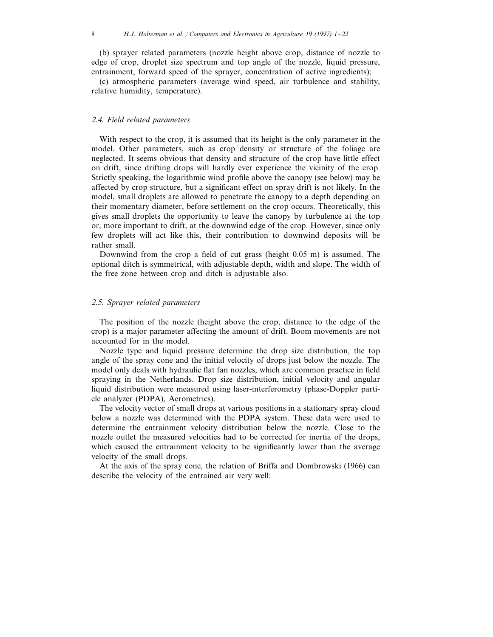(b) sprayer related parameters (nozzle height above crop, distance of nozzle to edge of crop, droplet size spectrum and top angle of the nozzle, liquid pressure, entrainment, forward speed of the sprayer, concentration of active ingredients);

(c) atmospheric parameters (average wind speed, air turbulence and stability, relative humidity, temperature).

# 2.4. *Field related parameters*

With respect to the crop, it is assumed that its height is the only parameter in the model. Other parameters, such as crop density or structure of the foliage are neglected. It seems obvious that density and structure of the crop have little effect on drift, since drifting drops will hardly ever experience the vicinity of the crop. Strictly speaking, the logarithmic wind profile above the canopy (see below) may be affected by crop structure, but a significant effect on spray drift is not likely. In the model, small droplets are allowed to penetrate the canopy to a depth depending on their momentary diameter, before settlement on the crop occurs. Theoretically, this gives small droplets the opportunity to leave the canopy by turbulence at the top or, more important to drift, at the downwind edge of the crop. However, since only few droplets will act like this, their contribution to downwind deposits will be rather small.

Downwind from the crop a field of cut grass (height 0.05 m) is assumed. The optional ditch is symmetrical, with adjustable depth, width and slope. The width of the free zone between crop and ditch is adjustable also.

#### 2.5. *Sprayer related parameters*

The position of the nozzle (height above the crop, distance to the edge of the crop) is a major parameter affecting the amount of drift. Boom movements are not accounted for in the model.

Nozzle type and liquid pressure determine the drop size distribution, the top angle of the spray cone and the initial velocity of drops just below the nozzle. The model only deals with hydraulic flat fan nozzles, which are common practice in field spraying in the Netherlands. Drop size distribution, initial velocity and angular liquid distribution were measured using laser-interferometry (phase-Doppler particle analyzer (PDPA), Aerometrics).

The velocity vector of small drops at various positions in a stationary spray cloud below a nozzle was determined with the PDPA system. These data were used to determine the entrainment velocity distribution below the nozzle. Close to the nozzle outlet the measured velocities had to be corrected for inertia of the drops, which caused the entrainment velocity to be significantly lower than the average velocity of the small drops.

At the axis of the spray cone, the relation of Briffa and Dombrowski (1966) can describe the velocity of the entrained air very well: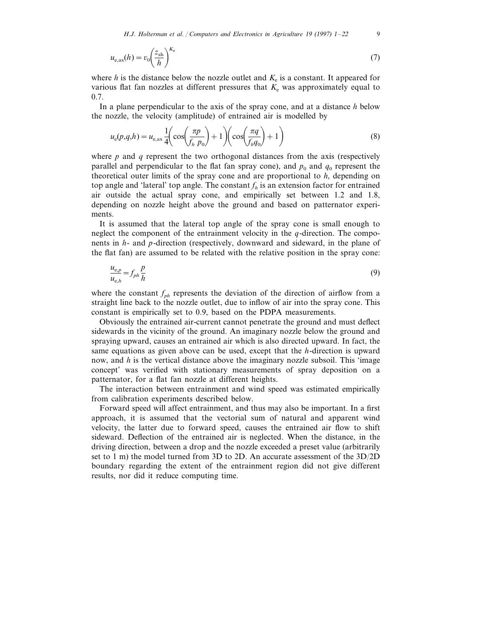$$
u_{e,ax}(h) = v_0 \left(\frac{z_{sh}}{h}\right)^{K_e} \tag{7}
$$

where *h* is the distance below the nozzle outlet and  $K<sub>e</sub>$  is a constant. It appeared for various flat fan nozzles at different pressures that  $K_e$  was approximately equal to 0.7.

In a plane perpendicular to the axis of the spray cone, and at a distance *h* below the nozzle, the velocity (amplitude) of entrained air is modelled by

$$
u_{e}(p,q,h) = u_{e,\text{ax}} \frac{1}{4} \left( \cos\left(\frac{\pi p}{f_h p_0}\right) + 1 \right) \left( \cos\left(\frac{\pi q}{f_h q_0}\right) + 1 \right)
$$
(8)

where  $p$  and  $q$  represent the two orthogonal distances from the axis (respectively parallel and perpendicular to the flat fan spray cone), and  $p_0$  and  $q_0$  represent the theoretical outer limits of the spray cone and are proportional to *h*, depending on top angle and 'lateral' top angle. The constant  $f<sub>h</sub>$  is an extension factor for entrained air outside the actual spray cone, and empirically set between 1.2 and 1.8, depending on nozzle height above the ground and based on patternator experiments.

It is assumed that the lateral top angle of the spray cone is small enough to neglect the component of the entrainment velocity in the *q*-direction. The components in *h*- and *p*-direction (respectively, downward and sideward, in the plane of the flat fan) are assumed to be related with the relative position in the spray cone:

$$
\frac{u_{e,p}}{u_{e,h}} = f_{ph} \frac{p}{h} \tag{9}
$$

where the constant  $f_{ph}$  represents the deviation of the direction of airflow from a straight line back to the nozzle outlet, due to inflow of air into the spray cone. This constant is empirically set to 0.9, based on the PDPA measurements.

Obviously the entrained air-current cannot penetrate the ground and must deflect sidewards in the vicinity of the ground. An imaginary nozzle below the ground and spraying upward, causes an entrained air which is also directed upward. In fact, the same equations as given above can be used, except that the *h*-direction is upward now, and *h* is the vertical distance above the imaginary nozzle subsoil. This 'image concept' was verified with stationary measurements of spray deposition on a patternator, for a flat fan nozzle at different heights.

The interaction between entrainment and wind speed was estimated empirically from calibration experiments described below.

Forward speed will affect entrainment, and thus may also be important. In a first approach, it is assumed that the vectorial sum of natural and apparent wind velocity, the latter due to forward speed, causes the entrained air flow to shift sideward. Deflection of the entrained air is neglected. When the distance, in the driving direction, between a drop and the nozzle exceeded a preset value (arbitrarily set to 1 m) the model turned from 3D to 2D. An accurate assessment of the 3D/2D boundary regarding the extent of the entrainment region did not give different results, nor did it reduce computing time.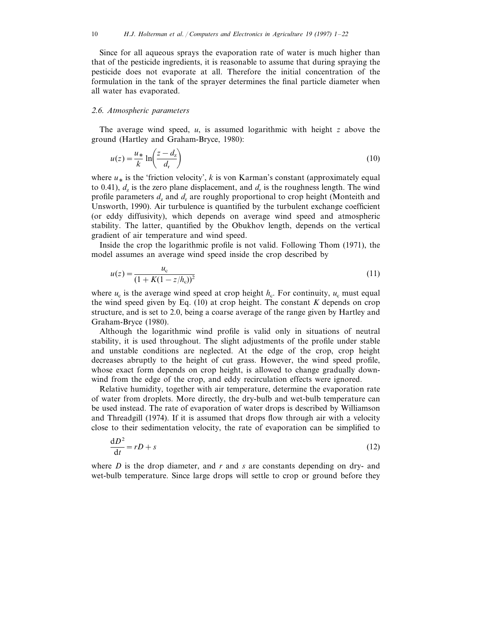Since for all aqueous sprays the evaporation rate of water is much higher than that of the pesticide ingredients, it is reasonable to assume that during spraying the pesticide does not evaporate at all. Therefore the initial concentration of the formulation in the tank of the sprayer determines the final particle diameter when all water has evaporated.

## 2.6. *Atmospheric parameters*

The average wind speed, *u*, is assumed logarithmic with height *z* above the ground (Hartley and Graham-Bryce, 1980):

$$
u(z) = \frac{u_*}{k} \ln\left(\frac{z - d_z}{d_r}\right) \tag{10}
$$

where  $u_*$  is the 'friction velocity',  $k$  is von Karman's constant (approximately equal to 0.41),  $d<sub>z</sub>$  is the zero plane displacement, and  $d<sub>r</sub>$  is the roughness length. The wind profile parameters *d<sub>r</sub>* and *d<sub>r</sub>* are roughly proportional to crop height (Monteith and Unsworth, 1990). Air turbulence is quantified by the turbulent exchange coefficient (or eddy diffusivity), which depends on average wind speed and atmospheric stability. The latter, quantified by the Obukhov length, depends on the vertical gradient of air temperature and wind speed.

Inside the crop the logarithmic profile is not valid. Following Thom (1971), the model assumes an average wind speed inside the crop described by

$$
u(z) = \frac{u_c}{(1 + K(1 - z/h_c))^2}
$$
(11)

where  $u_c$  is the average wind speed at crop height  $h_c$ . For continuity,  $u_c$  must equal the wind speed given by Eq. (10) at crop height. The constant *K* depends on crop structure, and is set to 2.0, being a coarse average of the range given by Hartley and Graham-Bryce (1980).

Although the logarithmic wind profile is valid only in situations of neutral stability, it is used throughout. The slight adjustments of the profile under stable and unstable conditions are neglected. At the edge of the crop, crop height decreases abruptly to the height of cut grass. However, the wind speed profile, whose exact form depends on crop height, is allowed to change gradually downwind from the edge of the crop, and eddy recirculation effects were ignored.

Relative humidity, together with air temperature, determine the evaporation rate of water from droplets. More directly, the dry-bulb and wet-bulb temperature can be used instead. The rate of evaporation of water drops is described by Williamson and Threadgill (1974). If it is assumed that drops flow through air with a velocity close to their sedimentation velocity, the rate of evaporation can be simplified to

$$
\frac{\mathrm{d}D^2}{\mathrm{d}t} = rD + s \tag{12}
$$

where *D* is the drop diameter, and *r* and *s* are constants depending on dry- and wet-bulb temperature. Since large drops will settle to crop or ground before they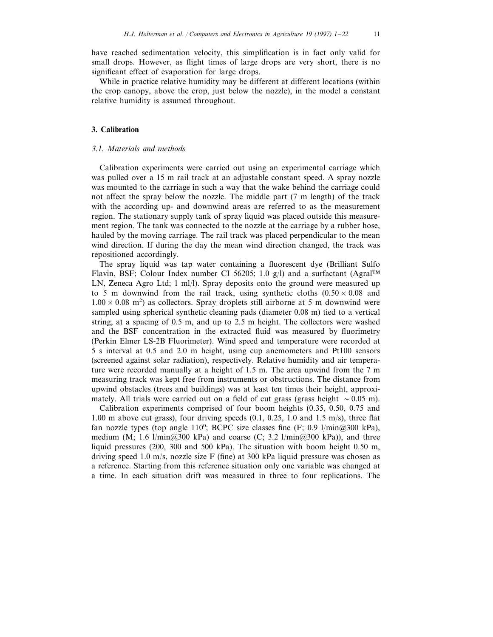have reached sedimentation velocity, this simplification is in fact only valid for small drops. However, as flight times of large drops are very short, there is no significant effect of evaporation for large drops.

While in practice relative humidity may be different at different locations (within the crop canopy, above the crop, just below the nozzle), in the model a constant relative humidity is assumed throughout.

# **3. Calibration**

#### 3.1. *Materials and methods*

Calibration experiments were carried out using an experimental carriage which was pulled over a 15 m rail track at an adjustable constant speed. A spray nozzle was mounted to the carriage in such a way that the wake behind the carriage could not affect the spray below the nozzle. The middle part (7 m length) of the track with the according up- and downwind areas are referred to as the measurement region. The stationary supply tank of spray liquid was placed outside this measurement region. The tank was connected to the nozzle at the carriage by a rubber hose, hauled by the moving carriage. The rail track was placed perpendicular to the mean wind direction. If during the day the mean wind direction changed, the track was repositioned accordingly.

The spray liquid was tap water containing a fluorescent dye (Brilliant Sulfo Flavin, BSF; Colour Index number CI 56205; 1.0 g/l) and a surfactant (Agral<sup>TM</sup> LN, Zeneca Agro Ltd; 1 ml/l). Spray deposits onto the ground were measured up to 5 m downwind from the rail track, using synthetic cloths  $(0.50 \times 0.08$  and  $1.00 \times 0.08$  m<sup>2</sup>) as collectors. Spray droplets still airborne at 5 m downwind were sampled using spherical synthetic cleaning pads (diameter 0.08 m) tied to a vertical string, at a spacing of 0.5 m, and up to 2.5 m height. The collectors were washed and the BSF concentration in the extracted fluid was measured by fluorimetry (Perkin Elmer LS-2B Fluorimeter). Wind speed and temperature were recorded at 5 s interval at 0.5 and 2.0 m height, using cup anemometers and Pt100 sensors (screened against solar radiation), respectively. Relative humidity and air temperature were recorded manually at a height of 1.5 m. The area upwind from the 7 m measuring track was kept free from instruments or obstructions. The distance from upwind obstacles (trees and buildings) was at least ten times their height, approximately. All trials were carried out on a field of cut grass (grass height  $\sim 0.05$  m).

Calibration experiments comprised of four boom heights (0.35, 0.50, 0.75 and 1.00 m above cut grass), four driving speeds (0.1, 0.25, 1.0 and 1.5 m/s), three flat fan nozzle types (top angle 110<sup>o</sup>; BCPC size classes fine (F; 0.9  $1/\text{min@300 kPa}$ ), medium (M; 1.6 l/min@300 kPa) and coarse (C; 3.2 l/min@300 kPa)), and three liquid pressures (200, 300 and 500 kPa). The situation with boom height 0.50 m, driving speed 1.0 m/s, nozzle size  $F$  (fine) at 300 kPa liquid pressure was chosen as a reference. Starting from this reference situation only one variable was changed at a time. In each situation drift was measured in three to four replications. The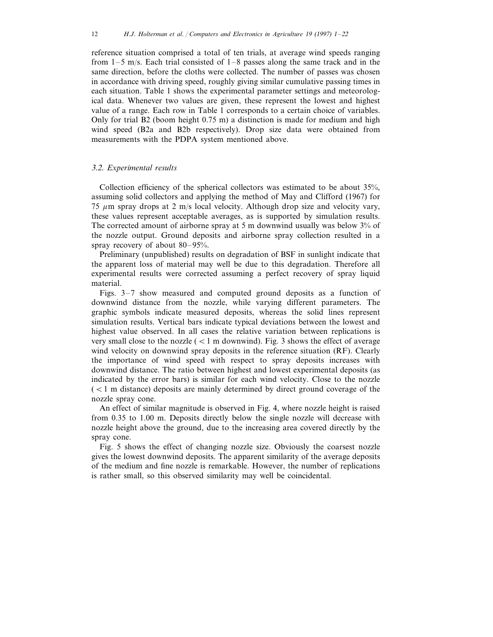reference situation comprised a total of ten trials, at average wind speeds ranging from  $1-5$  m/s. Each trial consisted of  $1-8$  passes along the same track and in the same direction, before the cloths were collected. The number of passes was chosen in accordance with driving speed, roughly giving similar cumulative passing times in each situation. Table 1 shows the experimental parameter settings and meteorological data. Whenever two values are given, these represent the lowest and highest value of a range. Each row in Table 1 corresponds to a certain choice of variables. Only for trial B2 (boom height  $0.75$  m) a distinction is made for medium and high wind speed (B2a and B2b respectively). Drop size data were obtained from measurements with the PDPA system mentioned above.

#### 3.2. *Experimental results*

Collection efficiency of the spherical collectors was estimated to be about 35%, assuming solid collectors and applying the method of May and Clifford (1967) for 75  $\mu$ m spray drops at 2 m/s local velocity. Although drop size and velocity vary, these values represent acceptable averages, as is supported by simulation results. The corrected amount of airborne spray at 5 m downwind usually was below 3% of the nozzle output. Ground deposits and airborne spray collection resulted in a spray recovery of about 80–95%.

Preliminary (unpublished) results on degradation of BSF in sunlight indicate that the apparent loss of material may well be due to this degradation. Therefore all experimental results were corrected assuming a perfect recovery of spray liquid material.

Figs. 3–7 show measured and computed ground deposits as a function of downwind distance from the nozzle, while varying different parameters. The graphic symbols indicate measured deposits, whereas the solid lines represent simulation results. Vertical bars indicate typical deviations between the lowest and highest value observed. In all cases the relative variation between replications is very small close to the nozzle  $(< 1$  m downwind). Fig. 3 shows the effect of average wind velocity on downwind spray deposits in the reference situation (RF). Clearly the importance of wind speed with respect to spray deposits increases with downwind distance. The ratio between highest and lowest experimental deposits (as indicated by the error bars) is similar for each wind velocity. Close to the nozzle  $(< 1$  m distance) deposits are mainly determined by direct ground coverage of the nozzle spray cone.

An effect of similar magnitude is observed in Fig. 4, where nozzle height is raised from 0.35 to 1.00 m. Deposits directly below the single nozzle will decrease with nozzle height above the ground, due to the increasing area covered directly by the spray cone.

Fig. 5 shows the effect of changing nozzle size. Obviously the coarsest nozzle gives the lowest downwind deposits. The apparent similarity of the average deposits of the medium and fine nozzle is remarkable. However, the number of replications is rather small, so this observed similarity may well be coincidental.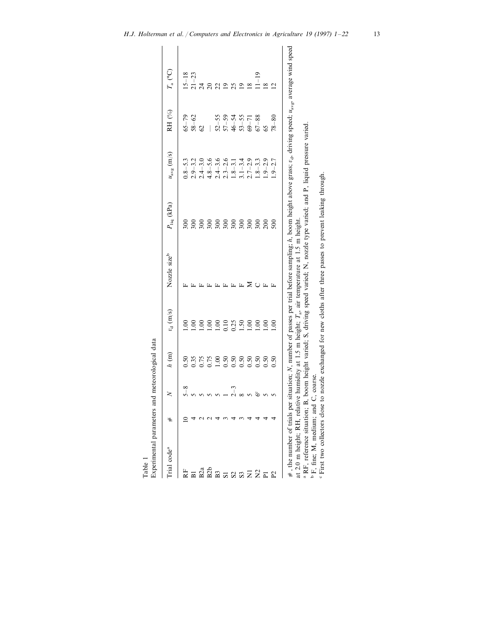| l codeª<br>Fial         | ₩ |         | $h\ (\mathrm{m})$                                                   | $v_{\rm d}~(\rm m/s)$ | Nozzle sizeb | $P_{\rm liq}$ (kPa)                               | $u_{\mathrm{avg}}~(\mathrm{m/s})$ | RH $(^{0}_{0})$                     | $T_{\rm a}$ (°C) |
|-------------------------|---|---------|---------------------------------------------------------------------|-----------------------|--------------|---------------------------------------------------|-----------------------------------|-------------------------------------|------------------|
| RF.                     |   | $5 - 8$ | 0.50                                                                |                       |              | 300                                               | $0.8 - 5.3$                       | $65 - 79$                           | $15 - 18$        |
| $\overline{\mathbf{B}}$ |   |         |                                                                     | $\mathcal{S}$         |              | 300                                               | $2.9 - 3.2$                       | $58 - 62$                           |                  |
| B2a                     |   |         | $\begin{array}{l} 35500000 \\ 0.0000000 \\ 0.000000 \\ \end{array}$ | $\frac{1}{2}$         |              |                                                   | $2.4 - 3.0$                       | $\infty$                            |                  |
| B2b                     |   |         |                                                                     | 00.1                  |              | $\frac{300}{300}$                                 | $4.8 - 5.6$                       |                                     |                  |
| $2533$                  |   |         |                                                                     | 1.00                  |              | 300                                               |                                   | $52 - 55$                           |                  |
|                         |   |         |                                                                     | 0.10                  |              |                                                   | $2.4 - 3.6$<br>$2.3 - 2.6$        |                                     |                  |
|                         |   | $2 - 3$ |                                                                     | 0.25                  |              |                                                   | $1.8 - 3.1$                       |                                     |                  |
|                         |   |         |                                                                     | 1.50                  |              |                                                   |                                   | $57 - 59$<br>$46 - 54$<br>$53 - 55$ |                  |
| Ξ                       |   |         |                                                                     | 00.1                  |              | $\begin{array}{c}\n 80 \\ 80 \\ 80\n \end{array}$ | $3.1 - 3.4$<br>$2.7 - 2.9$        | $69 - 71$                           | $\frac{8}{3}$    |
| $\Sigma$                |   |         |                                                                     | $\frac{0}{2}$         |              | 300                                               | $1.8 - 3.3$                       | $67 - 88$                           | $11 - 19$        |
| $\overline{\mathbf{p}}$ |   |         | 0.50                                                                | $\frac{8}{1}$         |              | $\approx$                                         | $1.9 - 2.9$                       | 65                                  | $\frac{8}{18}$   |
| P <sub>2</sub>          |   |         | 0.50                                                                | 00 <sub>1</sub>       |              | 500                                               | $1.9 - 2.7$                       | $78 - 80$                           |                  |

Table 1

abc

F, fine; M, medium; and C, coarse.

RF, reference situation; B, boom height varied; S, driving speed varied; N, nozzle type varied; and P, liquid pressure varied.

First two collectors close to nozzle exchanged for new cloths after three passes to prevent leaking through.

*H*.*J*. *Holterman et al*. / *Computers and Electronics in Agriculture* 19 (1997) 1–22 13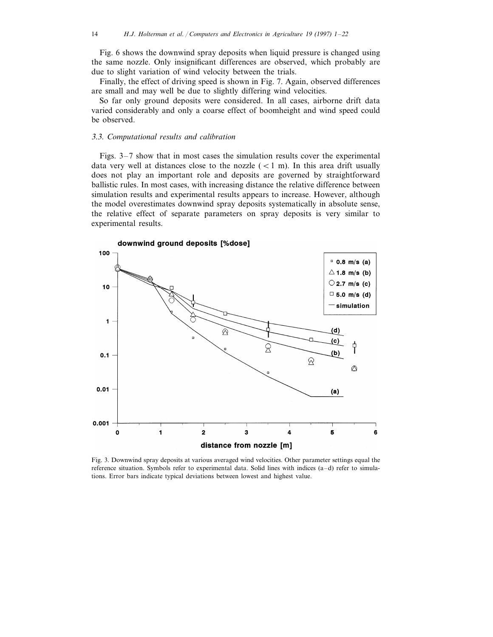Fig. 6 shows the downwind spray deposits when liquid pressure is changed using the same nozzle. Only insignificant differences are observed, which probably are due to slight variation of wind velocity between the trials.

Finally, the effect of driving speed is shown in Fig. 7. Again, observed differences are small and may well be due to slightly differing wind velocities.

So far only ground deposits were considered. In all cases, airborne drift data varied considerably and only a coarse effect of boomheight and wind speed could be observed.

## 3.3. *Computational results and calibration*

Figs. 3–7 show that in most cases the simulation results cover the experimental data very well at distances close to the nozzle  $(< 1$  m). In this area drift usually does not play an important role and deposits are governed by straightforward ballistic rules. In most cases, with increasing distance the relative difference between simulation results and experimental results appears to increase. However, although the model overestimates downwind spray deposits systematically in absolute sense, the relative effect of separate parameters on spray deposits is very similar to experimental results.



Fig. 3. Downwind spray deposits at various averaged wind velocities. Other parameter settings equal the reference situation. Symbols refer to experimental data. Solid lines with indices (a–d) refer to simulations. Error bars indicate typical deviations between lowest and highest value.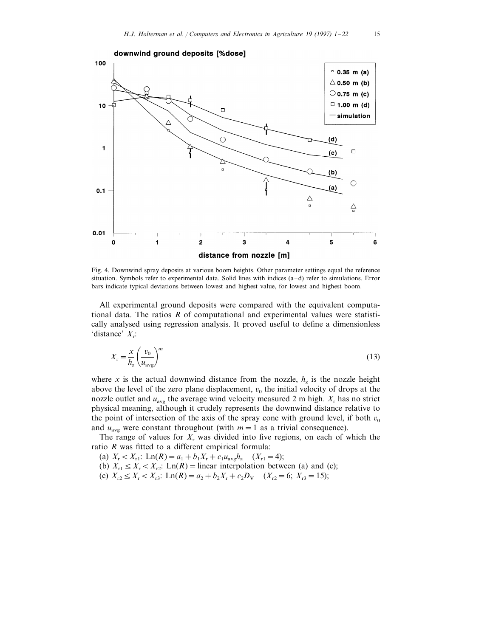

Fig. 4. Downwind spray deposits at various boom heights. Other parameter settings equal the reference situation. Symbols refer to experimental data. Solid lines with indices (a–d) refer to simulations. Error bars indicate typical deviations between lowest and highest value, for lowest and highest boom.

All experimental ground deposits were compared with the equivalent computational data. The ratios *R* of computational and experimental values were statistically analysed using regression analysis. It proved useful to define a dimensionless 'distance' *X*r:

$$
X_{\rm r} = \frac{x}{h_z} \left(\frac{v_0}{u_{\rm avg}}\right)^m \tag{13}
$$

where *x* is the actual downwind distance from the nozzle,  $h<sub>z</sub>$  is the nozzle height above the level of the zero plane displacement,  $v_0$  the initial velocity of drops at the nozzle outlet and  $u_{avg}$  the average wind velocity measured 2 m high.  $X_r$  has no strict physical meaning, although it crudely represents the downwind distance relative to the point of intersection of the axis of the spray cone with ground level, if both  $v_0$ and  $u_{\text{avg}}$  were constant throughout (with  $m=1$  as a trivial consequence).

The range of values for  $X<sub>r</sub>$  was divided into five regions, on each of which the ratio *R* was fitted to a different empirical formula:

(a)  $X_r < X_{r1}$ : Ln(*R*) =  $a_1 + b_1 X_r + c_1 u_{\text{avg}} h_z$  (*X<sub>r1</sub>* = 4);

- (b)  $X_{r1} \leq X_r < X_{r2}$ : Ln(*R*) = linear interpolation between (a) and (c);
- (c)  $X_{r2} \le X_r < X_{r3}$ : Ln(*R*) =  $a_2 + b_2 X_r + c_2 D_v$  (*X<sub>r2</sub>* = 6; *X<sub>r3</sub>* = 15);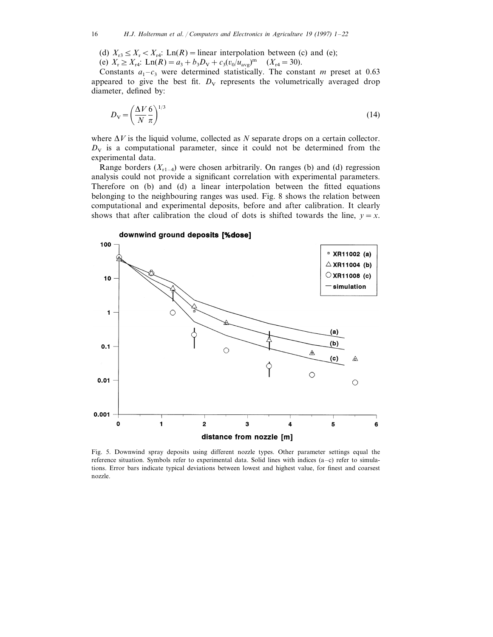(d)  $X_{r3} \le X_r < X_{r4}$ : Ln(*R*) = linear interpolation between (c) and (e); (e)  $X_r \ge X_{r4}: \text{Ln}(R) = a_3 + b_3D_v + c_3(v_0/u_{\text{avg}})^m \quad (X_{r4} = 30).$ 

Constants  $a_1 - c_3$  were determined statistically. The constant *m* preset at 0.63 appeared to give the best fit.  $D<sub>V</sub>$  represents the volumetrically averaged drop diameter, defined by:

$$
D_{\rm V} = \left(\frac{\Delta V}{N}\frac{6}{\pi}\right)^{1/3} \tag{14}
$$

where  $\Delta V$  is the liquid volume, collected as *N* separate drops on a certain collector.  $D_{\rm V}$  is a computational parameter, since it could not be determined from the experimental data.

Range borders  $(X_{r1-4})$  were chosen arbitrarily. On ranges (b) and (d) regression analysis could not provide a significant correlation with experimental parameters. Therefore on (b) and (d) a linear interpolation between the fitted equations belonging to the neighbouring ranges was used. Fig. 8 shows the relation between computational and experimental deposits, before and after calibration. It clearly shows that after calibration the cloud of dots is shifted towards the line,  $y = x$ .



Fig. 5. Downwind spray deposits using different nozzle types. Other parameter settings equal the reference situation. Symbols refer to experimental data. Solid lines with indices (a–c) refer to simulations. Error bars indicate typical deviations between lowest and highest value, for finest and coarsest nozzle.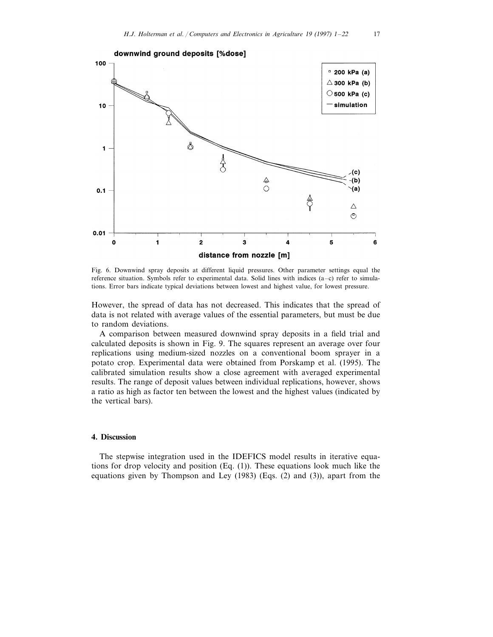

Fig. 6. Downwind spray deposits at different liquid pressures. Other parameter settings equal the reference situation. Symbols refer to experimental data. Solid lines with indices (a–c) refer to simulations. Error bars indicate typical deviations between lowest and highest value, for lowest pressure.

However, the spread of data has not decreased. This indicates that the spread of data is not related with average values of the essential parameters, but must be due to random deviations.

A comparison between measured downwind spray deposits in a field trial and calculated deposits is shown in Fig. 9. The squares represent an average over four replications using medium-sized nozzles on a conventional boom sprayer in a potato crop. Experimental data were obtained from Porskamp et al. (1995). The calibrated simulation results show a close agreement with averaged experimental results. The range of deposit values between individual replications, however, shows a ratio as high as factor ten between the lowest and the highest values (indicated by the vertical bars).

#### **4. Discussion**

The stepwise integration used in the IDEFICS model results in iterative equations for drop velocity and position (Eq. (1)). These equations look much like the equations given by Thompson and Ley (1983) (Eqs. (2) and (3)), apart from the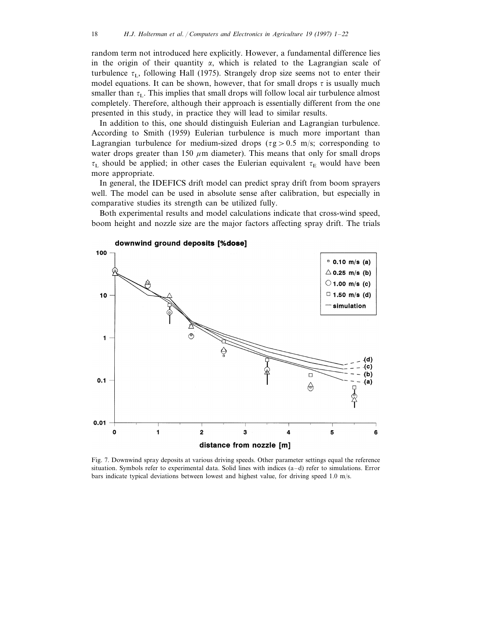random term not introduced here explicitly. However, a fundamental difference lies in the origin of their quantity  $\alpha$ , which is related to the Lagrangian scale of turbulence  $\tau_L$ , following Hall (1975). Strangely drop size seems not to enter their model equations. It can be shown, however, that for small drops  $\tau$  is usually much smaller than  $\tau_L$ . This implies that small drops will follow local air turbulence almost completely. Therefore, although their approach is essentially different from the one presented in this study, in practice they will lead to similar results.

In addition to this, one should distinguish Eulerian and Lagrangian turbulence. According to Smith (1959) Eulerian turbulence is much more important than Lagrangian turbulence for medium-sized drops ( $\tau$ g $> 0.5$  m/s; corresponding to water drops greater than 150  $\mu$ m diameter). This means that only for small drops  $\tau_{\rm L}$  should be applied; in other cases the Eulerian equivalent  $\tau_{\rm E}$  would have been more appropriate.

In general, the IDEFICS drift model can predict spray drift from boom sprayers well. The model can be used in absolute sense after calibration, but especially in comparative studies its strength can be utilized fully.

Both experimental results and model calculations indicate that cross-wind speed, boom height and nozzle size are the major factors affecting spray drift. The trials



Fig. 7. Downwind spray deposits at various driving speeds. Other parameter settings equal the reference situation. Symbols refer to experimental data. Solid lines with indices (a–d) refer to simulations. Error bars indicate typical deviations between lowest and highest value, for driving speed 1.0 m/s.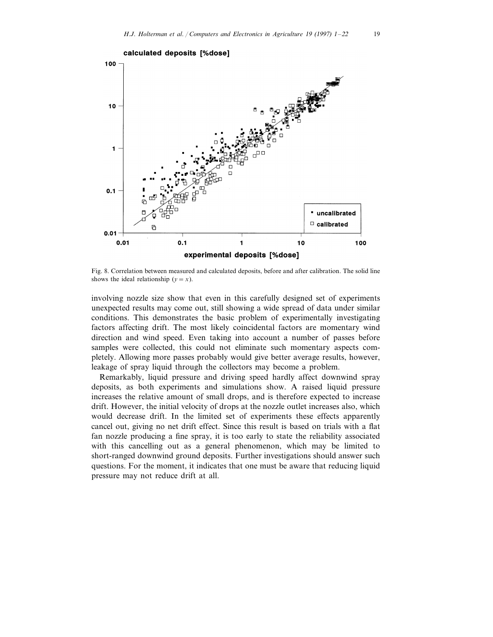

Fig. 8. Correlation between measured and calculated deposits, before and after calibration. The solid line shows the ideal relationship ( $y = x$ ).

involving nozzle size show that even in this carefully designed set of experiments unexpected results may come out, still showing a wide spread of data under similar conditions. This demonstrates the basic problem of experimentally investigating factors affecting drift. The most likely coincidental factors are momentary wind direction and wind speed. Even taking into account a number of passes before samples were collected, this could not eliminate such momentary aspects completely. Allowing more passes probably would give better average results, however, leakage of spray liquid through the collectors may become a problem.

Remarkably, liquid pressure and driving speed hardly affect downwind spray deposits, as both experiments and simulations show. A raised liquid pressure increases the relative amount of small drops, and is therefore expected to increase drift. However, the initial velocity of drops at the nozzle outlet increases also, which would decrease drift. In the limited set of experiments these effects apparently cancel out, giving no net drift effect. Since this result is based on trials with a flat fan nozzle producing a fine spray, it is too early to state the reliability associated with this cancelling out as a general phenomenon, which may be limited to short-ranged downwind ground deposits. Further investigations should answer such questions. For the moment, it indicates that one must be aware that reducing liquid pressure may not reduce drift at all.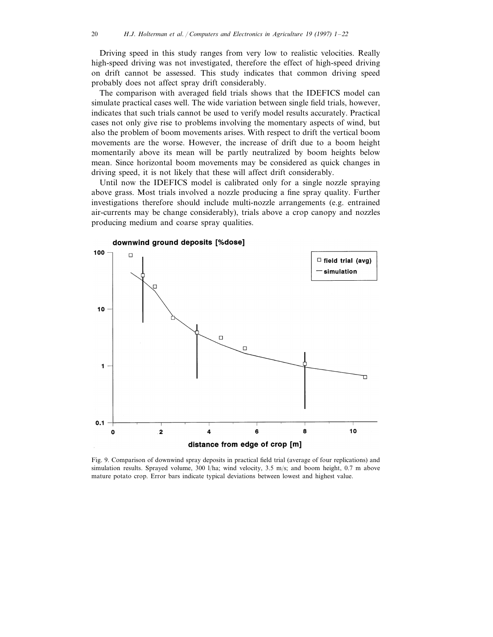Driving speed in this study ranges from very low to realistic velocities. Really high-speed driving was not investigated, therefore the effect of high-speed driving on drift cannot be assessed. This study indicates that common driving speed probably does not affect spray drift considerably.

The comparison with averaged field trials shows that the IDEFICS model can simulate practical cases well. The wide variation between single field trials, however, indicates that such trials cannot be used to verify model results accurately. Practical cases not only give rise to problems involving the momentary aspects of wind, but also the problem of boom movements arises. With respect to drift the vertical boom movements are the worse. However, the increase of drift due to a boom height momentarily above its mean will be partly neutralized by boom heights below mean. Since horizontal boom movements may be considered as quick changes in driving speed, it is not likely that these will affect drift considerably.

Until now the IDEFICS model is calibrated only for a single nozzle spraying above grass. Most trials involved a nozzle producing a fine spray quality. Further investigations therefore should include multi-nozzle arrangements (e.g. entrained air-currents may be change considerably), trials above a crop canopy and nozzles producing medium and coarse spray qualities.



downwind ground deposits [%dose]

Fig. 9. Comparison of downwind spray deposits in practical field trial (average of four replications) and simulation results. Sprayed volume, 300 l/ha; wind velocity, 3.5 m/s; and boom height, 0.7 m above mature potato crop. Error bars indicate typical deviations between lowest and highest value.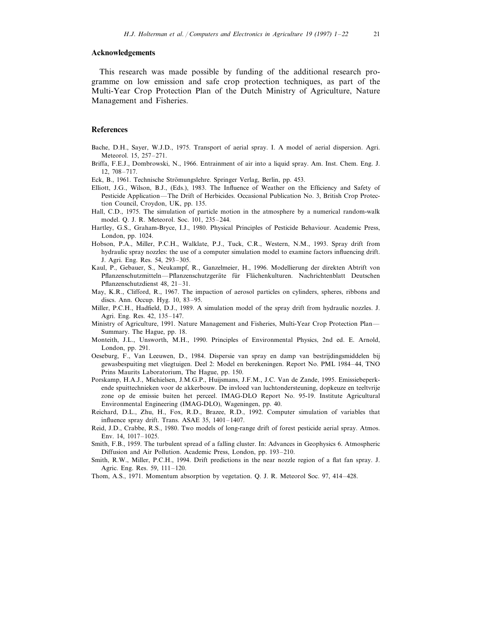#### **Acknowledgements**

This research was made possible by funding of the additional research programme on low emission and safe crop protection techniques, as part of the Multi-Year Crop Protection Plan of the Dutch Ministry of Agriculture, Nature Management and Fisheries.

# **References**

- Bache, D.H., Sayer, W.J.D., 1975. Transport of aerial spray. I. A model of aerial dispersion. Agri. Meteorol. 15, 257–271.
- Briffa, F.E.J., Dombrowski, N., 1966. Entrainment of air into a liquid spray. Am. Inst. Chem. Eng. J. 12, 708–717.
- Eck, B., 1961. Technische Strömungslehre. Springer Verlag, Berlin, pp. 453.
- Elliott, J.G., Wilson, B.J., (Eds.), 1983. The Influence of Weather on the Efficiency and Safety of Pesticide Application—The Drift of Herbicides. Occasional Publication No. 3, British Crop Protection Council, Croydon, UK, pp. 135.
- Hall, C.D., 1975. The simulation of particle motion in the atmosphere by a numerical random-walk model. Q. J. R. Meteorol. Soc. 101, 235–244.
- Hartley, G.S., Graham-Bryce, I.J., 1980. Physical Principles of Pesticide Behaviour. Academic Press, London, pp. 1024.
- Hobson, P.A., Miller, P.C.H., Walklate, P.J., Tuck, C.R., Western, N.M., 1993. Spray drift from hydraulic spray nozzles: the use of a computer simulation model to examine factors influencing drift. J. Agri. Eng. Res. 54, 293–305.
- Kaul, P., Gebauer, S., Neukampf, R., Ganzelmeier, H., 1996. Modellierung der direkten Abtrift von Pflanzenschutzmitteln—Pflanzenschutzgeräte für Flächenkulturen. Nachrichtenblatt Deutschen Pflanzenschutzdienst 48, 21–31.
- May, K.R., Clifford, R., 1967. The impaction of aerosol particles on cylinders, spheres, ribbons and discs. Ann. Occup. Hyg. 10, 83–95.
- Miller, P.C.H., Hadfield, D.J., 1989. A simulation model of the spray drift from hydraulic nozzles. J. Agri. Eng. Res. 42, 135–147.
- Ministry of Agriculture, 1991. Nature Management and Fisheries, Multi-Year Crop Protection Plan— Summary. The Hague, pp. 18.
- Monteith, J.L., Unsworth, M.H., 1990. Principles of Environmental Physics, 2nd ed. E. Arnold, London, pp. 291.
- Oeseburg, F., Van Leeuwen, D., 1984. Dispersie van spray en damp van bestrijdingsmiddelen bij gewasbespuiting met vliegtuigen. Deel 2: Model en berekeningen. Report No. PML 1984–44, TNO Prins Maurits Laboratorium, The Hague, pp. 150.
- Porskamp, H.A.J., Michielsen, J.M.G.P., Huijsmans, J.F.M., J.C. Van de Zande, 1995. Emissiebeperkende spuittechnieken voor de akkerbouw. De invloed van luchtondersteuning, dopkeuze en teeltvrije zone op de emissie buiten het perceel. IMAG-DLO Report No. 95-19. Institute Agricultural Environmental Engineering (IMAG-DLO), Wageningen, pp. 40.
- Reichard, D.L., Zhu, H., Fox, R.D., Brazee, R.D., 1992. Computer simulation of variables that influence spray drift. Trans. ASAE 35, 1401–1407.
- Reid, J.D., Crabbe, R.S., 1980. Two models of long-range drift of forest pesticide aerial spray. Atmos. Env. 14, 1017–1025.
- Smith, F.B., 1959. The turbulent spread of a falling cluster. In: Advances in Geophysics 6. Atmospheric Diffusion and Air Pollution. Academic Press, London, pp. 193–210.
- Smith, R.W., Miller, P.C.H., 1994. Drift predictions in the near nozzle region of a flat fan spray. J. Agric. Eng. Res. 59, 111–120.

Thom, A.S., 1971. Momentum absorption by vegetation. Q. J. R. Meteorol Soc. 97, 414–428.